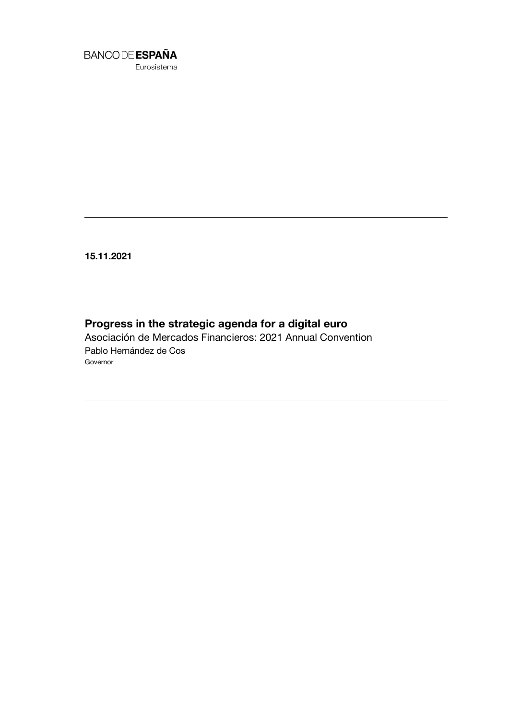

Eurosistema

**15.11.2021**

# **Progress in the strategic agenda for a digital euro**

Asociación de Mercados Financieros: 2021 Annual Convention Pablo Hernández de Cos Governor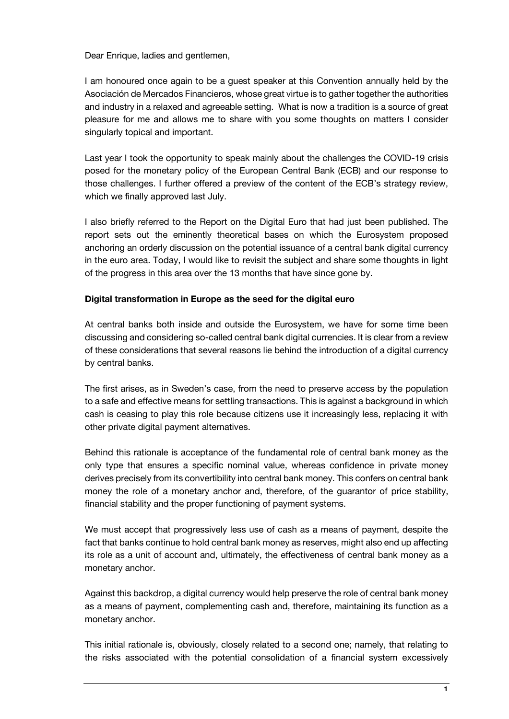Dear Enrique, ladies and gentlemen,

I am honoured once again to be a guest speaker at this Convention annually held by the Asociación de Mercados Financieros, whose great virtue is to gather together the authorities and industry in a relaxed and agreeable setting. What is now a tradition is a source of great pleasure for me and allows me to share with you some thoughts on matters I consider singularly topical and important.

Last year I took the opportunity to speak mainly about the challenges the COVID-19 crisis posed for the monetary policy of the European Central Bank (ECB) and our response to those challenges. I further offered a preview of the content of the ECB's strategy review, which we finally approved last July.

I also briefly referred to the Report on the Digital Euro that had just been published. The report sets out the eminently theoretical bases on which the Eurosystem proposed anchoring an orderly discussion on the potential issuance of a central bank digital currency in the euro area. Today, I would like to revisit the subject and share some thoughts in light of the progress in this area over the 13 months that have since gone by.

### **Digital transformation in Europe as the seed for the digital euro**

At central banks both inside and outside the Eurosystem, we have for some time been discussing and considering so-called central bank digital currencies. It is clear from a review of these considerations that several reasons lie behind the introduction of a digital currency by central banks.

The first arises, as in Sweden's case, from the need to preserve access by the population to a safe and effective means for settling transactions. This is against a background in which cash is ceasing to play this role because citizens use it increasingly less, replacing it with other private digital payment alternatives.

Behind this rationale is acceptance of the fundamental role of central bank money as the only type that ensures a specific nominal value, whereas confidence in private money derives precisely from its convertibility into central bank money. This confers on central bank money the role of a monetary anchor and, therefore, of the guarantor of price stability, financial stability and the proper functioning of payment systems.

We must accept that progressively less use of cash as a means of payment, despite the fact that banks continue to hold central bank money as reserves, might also end up affecting its role as a unit of account and, ultimately, the effectiveness of central bank money as a monetary anchor.

Against this backdrop, a digital currency would help preserve the role of central bank money as a means of payment, complementing cash and, therefore, maintaining its function as a monetary anchor.

This initial rationale is, obviously, closely related to a second one; namely, that relating to the risks associated with the potential consolidation of a financial system excessively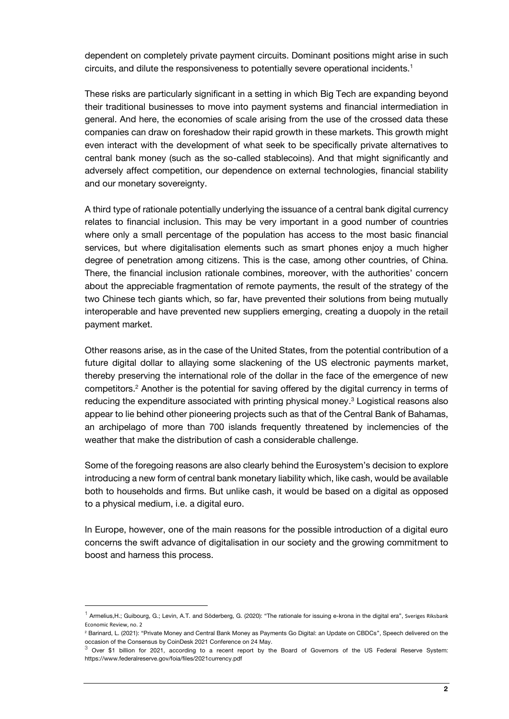dependent on completely private payment circuits. Dominant positions might arise in such circuits, and dilute the responsiveness to potentially severe operational incidents.<sup>1</sup>

These risks are particularly significant in a setting in which Big Tech are expanding beyond their traditional businesses to move into payment systems and financial intermediation in general. And here, the economies of scale arising from the use of the crossed data these companies can draw on foreshadow their rapid growth in these markets. This growth might even interact with the development of what seek to be specifically private alternatives to central bank money (such as the so-called stablecoins). And that might significantly and adversely affect competition, our dependence on external technologies, financial stability and our monetary sovereignty.

A third type of rationale potentially underlying the issuance of a central bank digital currency relates to financial inclusion. This may be very important in a good number of countries where only a small percentage of the population has access to the most basic financial services, but where digitalisation elements such as smart phones enjoy a much higher degree of penetration among citizens. This is the case, among other countries, of China. There, the financial inclusion rationale combines, moreover, with the authorities' concern about the appreciable fragmentation of remote payments, the result of the strategy of the two Chinese tech giants which, so far, have prevented their solutions from being mutually interoperable and have prevented new suppliers emerging, creating a duopoly in the retail payment market.

Other reasons arise, as in the case of the United States, from the potential contribution of a future digital dollar to allaying some slackening of the US electronic payments market, thereby preserving the international role of the dollar in the face of the emergence of new competitors.<sup>2</sup> Another is the potential for saving offered by the digital currency in terms of reducing the expenditure associated with printing physical money. <sup>3</sup> Logistical reasons also appear to lie behind other pioneering projects such as that of the Central Bank of Bahamas, an archipelago of more than 700 islands frequently threatened by inclemencies of the weather that make the distribution of cash a considerable challenge.

Some of the foregoing reasons are also clearly behind the Eurosystem's decision to explore introducing a new form of central bank monetary liability which, like cash, would be available both to households and firms. But unlike cash, it would be based on a digital as opposed to a physical medium, i.e. a digital euro.

In Europe, however, one of the main reasons for the possible introduction of a digital euro concerns the swift advance of digitalisation in our society and the growing commitment to boost and harness this process.

1

<sup>&</sup>lt;sup>1</sup> Armelius,H.; Guibourg, G.; Levin, A.T. and Söderberg, G. (2020): "The rationale for issuing e-krona in the digital era", Sveriges Riksbank Economic Review, no. 2

<sup>2</sup> Barinard, L. (2021): "Private Money and Central Bank Money as Payments Go Digital: an Update on CBDCs", Speech delivered on the

occasion of the Consensus by CoinDesk 2021 Conference on 24 May.<br><sup>3</sup> Over \$1 billion for 2021, according to a recent report by the Board of Governors of the US Federal Reserve System: https://www.federalreserve.gov/foia/files/2021currency.pdf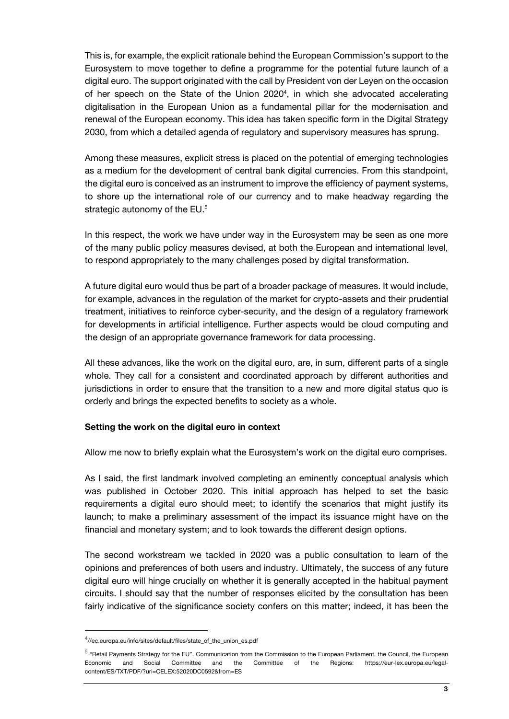This is, for example, the explicit rationale behind the European Commission's support to the Eurosystem to move together to define a programme for the potential future launch of a digital euro. The support originated with the call by President von der Leyen on the occasion of her speech on the State of the Union 2020<sup>4</sup>, in which she advocated accelerating digitalisation in the European Union as a fundamental pillar for the modernisation and renewal of the European economy. This idea has taken specific form in the Digital Strategy 2030, from which a detailed agenda of regulatory and supervisory measures has sprung.

Among these measures, explicit stress is placed on the potential of emerging technologies as a medium for the development of central bank digital currencies. From this standpoint, the digital euro is conceived as an instrument to improve the efficiency of payment systems, to shore up the international role of our currency and to make headway regarding the strategic autonomy of the EU.<sup>5</sup>

In this respect, the work we have under way in the Eurosystem may be seen as one more of the many public policy measures devised, at both the European and international level, to respond appropriately to the many challenges posed by digital transformation.

A future digital euro would thus be part of a broader package of measures. It would include, for example, advances in the regulation of the market for crypto-assets and their prudential treatment, initiatives to reinforce cyber-security, and the design of a regulatory framework for developments in artificial intelligence. Further aspects would be cloud computing and the design of an appropriate governance framework for data processing.

All these advances, like the work on the digital euro, are, in sum, different parts of a single whole. They call for a consistent and coordinated approach by different authorities and jurisdictions in order to ensure that the transition to a new and more digital status quo is orderly and brings the expected benefits to society as a whole.

### **Setting the work on the digital euro in context**

Allow me now to briefly explain what the Eurosystem's work on the digital euro comprises.

As I said, the first landmark involved completing an eminently conceptual analysis which was published in October 2020. This initial approach has helped to set the basic requirements a digital euro should meet; to identify the scenarios that might justify its launch; to make a preliminary assessment of the impact its issuance might have on the financial and monetary system; and to look towards the different design options.

The second workstream we tackled in 2020 was a public consultation to learn of the opinions and preferences of both users and industry. Ultimately, the success of any future digital euro will hinge crucially on whether it is generally accepted in the habitual payment circuits. I should say that the number of responses elicited by the consultation has been fairly indicative of the significance society confers on this matter; indeed, it has been the

l

<sup>4</sup> //ec.europa.eu/info/sites/default/files/state\_of\_the\_union\_es.pdf

<sup>&</sup>lt;sup>5</sup> "Retail Payments Strategy for the EU". Communication from the Commission to the European Parliament, the Council, the European Economic and Social Committee and the Committee of the Regions: https://eur-lex.europa.eu/legalcontent/ES/TXT/PDF/?uri=CELEX:52020DC0592&from=ES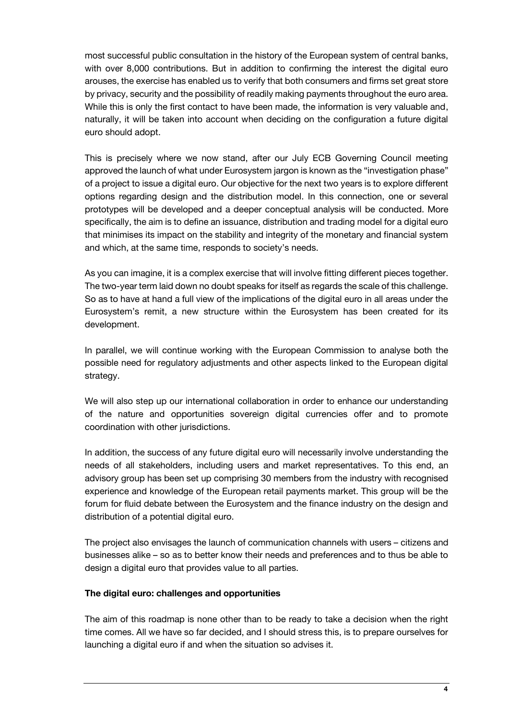most successful public consultation in the history of the European system of central banks, with over 8,000 contributions. But in addition to confirming the interest the digital euro arouses, the exercise has enabled us to verify that both consumers and firms set great store by privacy, security and the possibility of readily making payments throughout the euro area. While this is only the first contact to have been made, the information is very valuable and, naturally, it will be taken into account when deciding on the configuration a future digital euro should adopt.

This is precisely where we now stand, after our July ECB Governing Council meeting approved the launch of what under Eurosystem jargon is known as the "investigation phase" of a project to issue a digital euro. Our objective for the next two years is to explore different options regarding design and the distribution model. In this connection, one or several prototypes will be developed and a deeper conceptual analysis will be conducted. More specifically, the aim is to define an issuance, distribution and trading model for a digital euro that minimises its impact on the stability and integrity of the monetary and financial system and which, at the same time, responds to society's needs.

As you can imagine, it is a complex exercise that will involve fitting different pieces together. The two-year term laid down no doubt speaks for itself as regards the scale of this challenge. So as to have at hand a full view of the implications of the digital euro in all areas under the Eurosystem's remit, a new structure within the Eurosystem has been created for its development.

In parallel, we will continue working with the European Commission to analyse both the possible need for regulatory adjustments and other aspects linked to the European digital strategy.

We will also step up our international collaboration in order to enhance our understanding of the nature and opportunities sovereign digital currencies offer and to promote coordination with other jurisdictions.

In addition, the success of any future digital euro will necessarily involve understanding the needs of all stakeholders, including users and market representatives. To this end, an advisory group has been set up comprising 30 members from the industry with recognised experience and knowledge of the European retail payments market. This group will be the forum for fluid debate between the Eurosystem and the finance industry on the design and distribution of a potential digital euro.

The project also envisages the launch of communication channels with users – citizens and businesses alike – so as to better know their needs and preferences and to thus be able to design a digital euro that provides value to all parties.

### **The digital euro: challenges and opportunities**

The aim of this roadmap is none other than to be ready to take a decision when the right time comes. All we have so far decided, and I should stress this, is to prepare ourselves for launching a digital euro if and when the situation so advises it.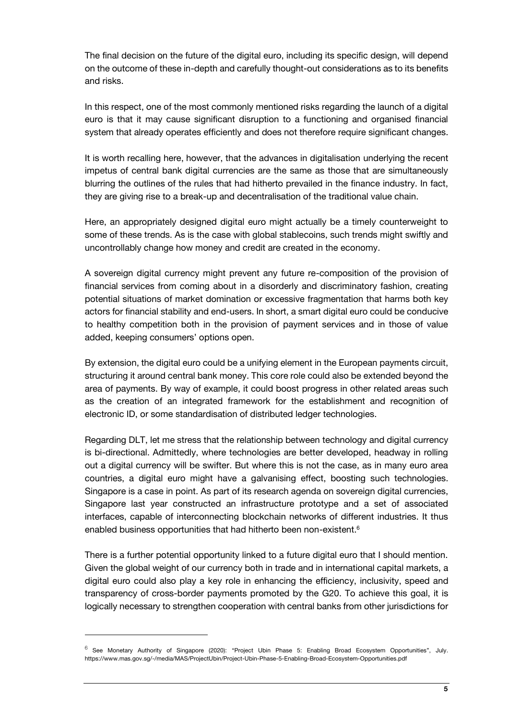The final decision on the future of the digital euro, including its specific design, will depend on the outcome of these in-depth and carefully thought-out considerations as to its benefits and risks.

In this respect, one of the most commonly mentioned risks regarding the launch of a digital euro is that it may cause significant disruption to a functioning and organised financial system that already operates efficiently and does not therefore require significant changes.

It is worth recalling here, however, that the advances in digitalisation underlying the recent impetus of central bank digital currencies are the same as those that are simultaneously blurring the outlines of the rules that had hitherto prevailed in the finance industry. In fact, they are giving rise to a break-up and decentralisation of the traditional value chain.

Here, an appropriately designed digital euro might actually be a timely counterweight to some of these trends. As is the case with global stablecoins, such trends might swiftly and uncontrollably change how money and credit are created in the economy.

A sovereign digital currency might prevent any future re-composition of the provision of financial services from coming about in a disorderly and discriminatory fashion, creating potential situations of market domination or excessive fragmentation that harms both key actors for financial stability and end-users. In short, a smart digital euro could be conducive to healthy competition both in the provision of payment services and in those of value added, keeping consumers' options open.

By extension, the digital euro could be a unifying element in the European payments circuit, structuring it around central bank money. This core role could also be extended beyond the area of payments. By way of example, it could boost progress in other related areas such as the creation of an integrated framework for the establishment and recognition of electronic ID, or some standardisation of distributed ledger technologies.

Regarding DLT, let me stress that the relationship between technology and digital currency is bi-directional. Admittedly, where technologies are better developed, headway in rolling out a digital currency will be swifter. But where this is not the case, as in many euro area countries, a digital euro might have a galvanising effect, boosting such technologies. Singapore is a case in point. As part of its research agenda on sovereign digital currencies, Singapore last year constructed an infrastructure prototype and a set of associated interfaces, capable of interconnecting blockchain networks of different industries. It thus enabled business opportunities that had hitherto been non-existent.<sup>6</sup>

There is a further potential opportunity linked to a future digital euro that I should mention. Given the global weight of our currency both in trade and in international capital markets, a digital euro could also play a key role in enhancing the efficiency, inclusivity, speed and transparency of cross-border payments promoted by the G20. To achieve this goal, it is logically necessary to strengthen cooperation with central banks from other jurisdictions for

1

<sup>&</sup>lt;sup>6</sup> See Monetary Authority of Singapore (2020): "Project Ubin Phase 5: Enabling Broad Ecosystem Opportunities", July. https://www.mas.gov.sg/-/media/MAS/ProjectUbin/Project-Ubin-Phase-5-Enabling-Broad-Ecosystem-Opportunities.pdf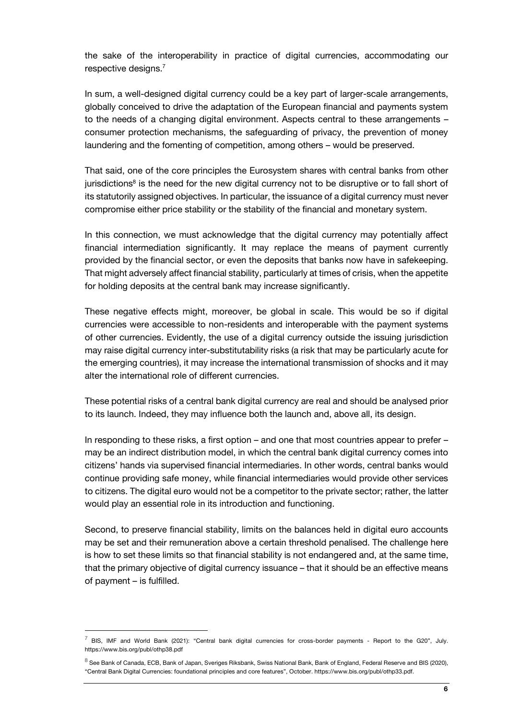the sake of the interoperability in practice of digital currencies, accommodating our respective designs.<sup>7</sup>

In sum, a well-designed digital currency could be a key part of larger-scale arrangements, globally conceived to drive the adaptation of the European financial and payments system to the needs of a changing digital environment. Aspects central to these arrangements – consumer protection mechanisms, the safeguarding of privacy, the prevention of money laundering and the fomenting of competition, among others – would be preserved.

That said, one of the core principles the Eurosystem shares with central banks from other jurisdictions<sup>8</sup> is the need for the new digital currency not to be disruptive or to fall short of its statutorily assigned objectives. In particular, the issuance of a digital currency must never compromise either price stability or the stability of the financial and monetary system.

In this connection, we must acknowledge that the digital currency may potentially affect financial intermediation significantly. It may replace the means of payment currently provided by the financial sector, or even the deposits that banks now have in safekeeping. That might adversely affect financial stability, particularly at times of crisis, when the appetite for holding deposits at the central bank may increase significantly.

These negative effects might, moreover, be global in scale. This would be so if digital currencies were accessible to non-residents and interoperable with the payment systems of other currencies. Evidently, the use of a digital currency outside the issuing jurisdiction may raise digital currency inter-substitutability risks (a risk that may be particularly acute for the emerging countries), it may increase the international transmission of shocks and it may alter the international role of different currencies.

These potential risks of a central bank digital currency are real and should be analysed prior to its launch. Indeed, they may influence both the launch and, above all, its design.

In responding to these risks, a first option – and one that most countries appear to prefer – may be an indirect distribution model, in which the central bank digital currency comes into citizens' hands via supervised financial intermediaries. In other words, central banks would continue providing safe money, while financial intermediaries would provide other services to citizens. The digital euro would not be a competitor to the private sector; rather, the latter would play an essential role in its introduction and functioning.

Second, to preserve financial stability, limits on the balances held in digital euro accounts may be set and their remuneration above a certain threshold penalised. The challenge here is how to set these limits so that financial stability is not endangered and, at the same time, that the primary objective of digital currency issuance – that it should be an effective means of payment – is fulfilled.

l

 $^7$  BIS. IMF and World Bank (2021): "Central bank digital currencies for cross-border payments - Report to the G20", July. https://www.bis.org/publ/othp38.pdf

 $^8$  See Bank of Canada, ECB, Bank of Japan, Sveriges Riksbank, Swiss National Bank, Bank of England, Federal Reserve and BIS (2020), "Central Bank Digital Currencies: foundational principles and core features", October. https://www.bis.org/publ/othp33.pdf.